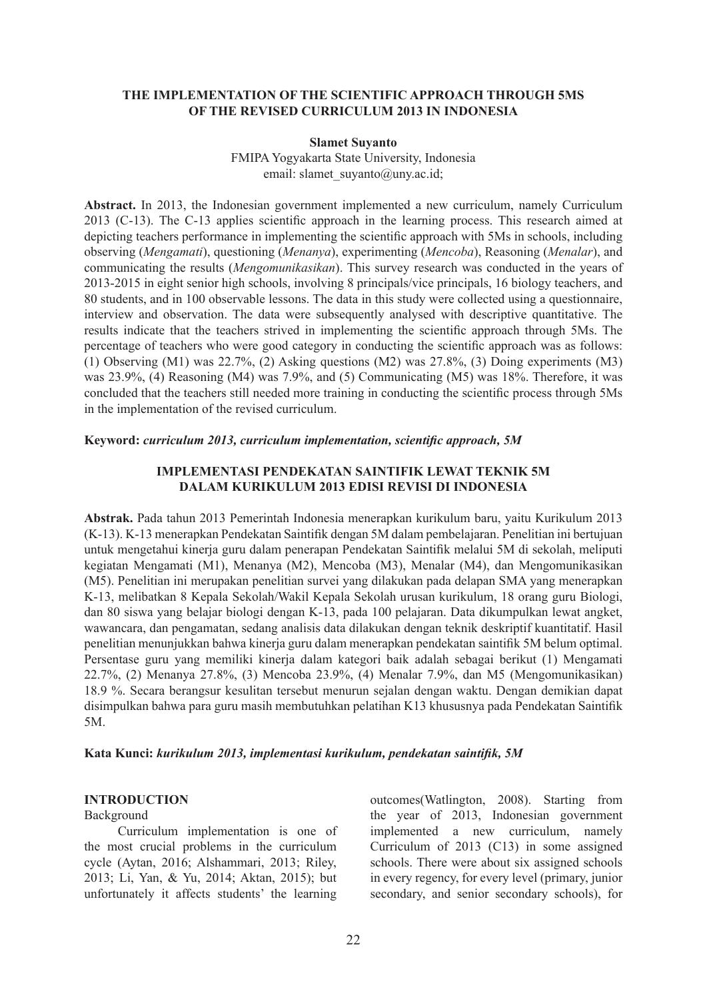## **THE IMPLEMENTATION OF THE SCIENTIFIC APPROACH THROUGH 5MS OF THE REVISED CURRICULUM 2013 IN INDONESIA**

#### **Slamet Suyanto**

FMIPA Yogyakarta State University, Indonesia email: slamet\_suyanto@uny.ac.id;

**Abstract.** In 2013, the Indonesian government implemented a new curriculum, namely Curriculum 2013 (C-13). The C-13 applies scientific approach in the learning process. This research aimed at depicting teachers performance in implementing the scientific approach with 5Ms in schools, including observing (*Mengamati*), questioning (*Menanya*), experimenting (*Mencoba*), Reasoning (*Menalar*), and communicating the results (*Mengomunikasikan*). This survey research was conducted in the years of 2013-2015 in eight senior high schools, involving 8 principals/vice principals, 16 biology teachers, and 80 students, and in 100 observable lessons. The data in this study were collected using a questionnaire, interview and observation. The data were subsequently analysed with descriptive quantitative. The results indicate that the teachers strived in implementing the scientific approach through 5Ms. The percentage of teachers who were good category in conducting the scientific approach was as follows: (1) Observing (M1) was 22.7%, (2) Asking questions (M2) was 27.8%, (3) Doing experiments (M3) was 23.9%, (4) Reasoning (M4) was 7.9%, and (5) Communicating (M5) was 18%. Therefore, it was concluded that the teachers still needed more training in conducting the scientific process through 5Ms in the implementation of the revised curriculum.

#### **Keyword:** *curriculum 2013, curriculum implementation, scientific approach, 5M*

## **IMPLEMENTASI PENDEKATAN SAINTIFIK LEWAT TEKNIK 5M DALAM KURIKULUM 2013 EDISI REVISI DI INDONESIA**

**Abstrak.** Pada tahun 2013 Pemerintah Indonesia menerapkan kurikulum baru, yaitu Kurikulum 2013 (K-13). K-13 menerapkan Pendekatan Saintifik dengan 5M dalam pembelajaran. Penelitian ini bertujuan untuk mengetahui kinerja guru dalam penerapan Pendekatan Saintifik melalui 5M di sekolah, meliputi kegiatan Mengamati (M1), Menanya (M2), Mencoba (M3), Menalar (M4), dan Mengomunikasikan (M5). Penelitian ini merupakan penelitian survei yang dilakukan pada delapan SMA yang menerapkan K-13, melibatkan 8 Kepala Sekolah/Wakil Kepala Sekolah urusan kurikulum, 18 orang guru Biologi, dan 80 siswa yang belajar biologi dengan K-13, pada 100 pelajaran. Data dikumpulkan lewat angket, wawancara, dan pengamatan, sedang analisis data dilakukan dengan teknik deskriptif kuantitatif. Hasil penelitian menunjukkan bahwa kinerja guru dalam menerapkan pendekatan saintifik 5M belum optimal. Persentase guru yang memiliki kinerja dalam kategori baik adalah sebagai berikut (1) Mengamati 22.7%, (2) Menanya 27.8%, (3) Mencoba 23.9%, (4) Menalar 7.9%, dan M5 (Mengomunikasikan) 18.9 %. Secara berangsur kesulitan tersebut menurun sejalan dengan waktu. Dengan demikian dapat disimpulkan bahwa para guru masih membutuhkan pelatihan K13 khususnya pada Pendekatan Saintifik 5M.

## **Kata Kunci:** *kurikulum 2013, implementasi kurikulum, pendekatan saintifik, 5M*

#### **INTRODUCTION**

#### Background

Curriculum implementation is one of the most crucial problems in the curriculum cycle (Aytan, 2016; Alshammari, 2013; Riley, 2013; Li, Yan, & Yu, 2014; Aktan, 2015); but unfortunately it affects students' the learning

outcomes(Watlington, 2008). Starting from the year of 2013, Indonesian government implemented a new curriculum, namely Curriculum of 2013 (C13) in some assigned schools. There were about six assigned schools in every regency, for every level (primary, junior secondary, and senior secondary schools), for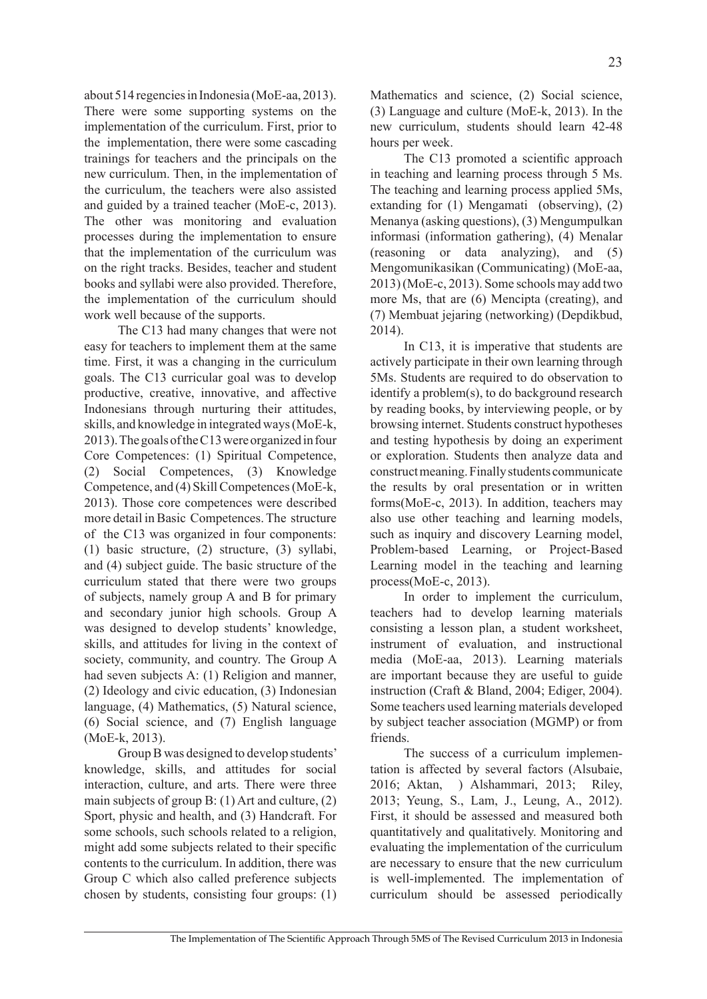about 514 regencies in Indonesia (MoE-aa, 2013). There were some supporting systems on the implementation of the curriculum. First, prior to the implementation, there were some cascading trainings for teachers and the principals on the new curriculum. Then, in the implementation of the curriculum, the teachers were also assisted and guided by a trained teacher (MoE-c, 2013). The other was monitoring and evaluation processes during the implementation to ensure that the implementation of the curriculum was on the right tracks. Besides, teacher and student books and syllabi were also provided. Therefore, the implementation of the curriculum should work well because of the supports.

The C13 had many changes that were not easy for teachers to implement them at the same time. First, it was a changing in the curriculum goals. The C13 curricular goal was to develop productive, creative, innovative, and affective Indonesians through nurturing their attitudes, skills, and knowledge in integrated ways (MoE-k, 2013). The goals of the C13 were organized in four Core Competences: (1) Spiritual Competence, (2) Social Competences, (3) Knowledge Competence, and (4) Skill Competences (MoE-k, 2013). Those core competences were described more detail in Basic Competences. The structure of the C13 was organized in four components: (1) basic structure, (2) structure, (3) syllabi, and (4) subject guide. The basic structure of the curriculum stated that there were two groups of subjects, namely group A and B for primary and secondary junior high schools. Group A was designed to develop students' knowledge, skills, and attitudes for living in the context of society, community, and country. The Group A had seven subjects A: (1) Religion and manner, (2) Ideology and civic education, (3) Indonesian language, (4) Mathematics, (5) Natural science, (6) Social science, and (7) English language (MoE-k, 2013).

Group B was designed to develop students' knowledge, skills, and attitudes for social interaction, culture, and arts. There were three main subjects of group B: (1) Art and culture, (2) Sport, physic and health, and (3) Handcraft. For some schools, such schools related to a religion, might add some subjects related to their specific contents to the curriculum. In addition, there was Group C which also called preference subjects chosen by students, consisting four groups: (1) Mathematics and science, (2) Social science, (3) Language and culture (MoE-k, 2013). In the new curriculum, students should learn 42-48 hours per week.

The C13 promoted a scientific approach in teaching and learning process through 5 Ms. The teaching and learning process applied 5Ms, extanding for (1) Mengamati (observing), (2) Menanya (asking questions), (3) Mengumpulkan informasi (information gathering), (4) Menalar (reasoning or data analyzing), and (5) Mengomunikasikan (Communicating) (MoE-aa, 2013) (MoE-c, 2013). Some schools may add two more Ms, that are (6) Mencipta (creating), and (7) Membuat jejaring (networking) (Depdikbud, 2014).

In C13, it is imperative that students are actively participate in their own learning through 5Ms. Students are required to do observation to identify a problem(s), to do background research by reading books, by interviewing people, or by browsing internet. Students construct hypotheses and testing hypothesis by doing an experiment or exploration. Students then analyze data and construct meaning. Finally students communicate the results by oral presentation or in written forms(MoE-c, 2013). In addition, teachers may also use other teaching and learning models, such as inquiry and discovery Learning model, Problem-based Learning, or Project-Based Learning model in the teaching and learning process(MoE-c, 2013).

In order to implement the curriculum, teachers had to develop learning materials consisting a lesson plan, a student worksheet, instrument of evaluation, and instructional media (MoE-aa, 2013). Learning materials are important because they are useful to guide instruction (Craft & Bland, 2004; Ediger, 2004). Some teachers used learning materials developed by subject teacher association (MGMP) or from friends.

The success of a curriculum implementation is affected by several factors (Alsubaie, 2016; Aktan, ) Alshammari, 2013; Riley, 2013; Yeung, S., Lam, J., Leung, A., 2012). First, it should be assessed and measured both quantitatively and qualitatively. Monitoring and evaluating the implementation of the curriculum are necessary to ensure that the new curriculum is well-implemented. The implementation of curriculum should be assessed periodically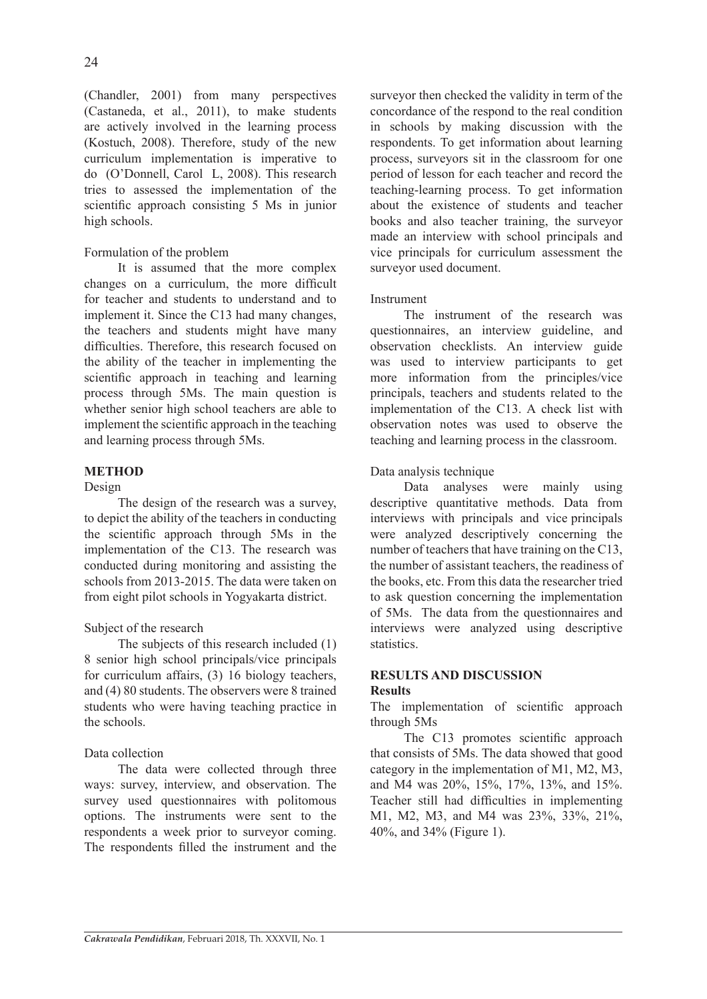(Chandler, 2001) from many perspectives (Castaneda, et al., 2011), to make students are actively involved in the learning process (Kostuch, 2008). Therefore, study of the new curriculum implementation is imperative to do (O'Donnell, Carol L, 2008). This research tries to assessed the implementation of the scientific approach consisting 5 Ms in junior high schools.

## Formulation of the problem

It is assumed that the more complex changes on a curriculum, the more difficult for teacher and students to understand and to implement it. Since the C13 had many changes, the teachers and students might have many difficulties. Therefore, this research focused on the ability of the teacher in implementing the scientific approach in teaching and learning process through 5Ms. The main question is whether senior high school teachers are able to implement the scientific approach in the teaching and learning process through 5Ms.

# **METHOD**

# Design

The design of the research was a survey, to depict the ability of the teachers in conducting the scientific approach through 5Ms in the implementation of the C13. The research was conducted during monitoring and assisting the schools from 2013-2015. The data were taken on from eight pilot schools in Yogyakarta district.

## Subject of the research

The subjects of this research included (1) 8 senior high school principals/vice principals for curriculum affairs, (3) 16 biology teachers, and (4) 80 students. The observers were 8 trained students who were having teaching practice in the schools.

# Data collection

The data were collected through three ways: survey, interview, and observation. The survey used questionnaires with politomous options. The instruments were sent to the respondents a week prior to surveyor coming. The respondents filled the instrument and the surveyor then checked the validity in term of the concordance of the respond to the real condition in schools by making discussion with the respondents. To get information about learning process, surveyors sit in the classroom for one period of lesson for each teacher and record the teaching-learning process. To get information about the existence of students and teacher books and also teacher training, the surveyor made an interview with school principals and vice principals for curriculum assessment the surveyor used document.

## Instrument

The instrument of the research was questionnaires, an interview guideline, and observation checklists. An interview guide was used to interview participants to get more information from the principles/vice principals, teachers and students related to the implementation of the C13. A check list with observation notes was used to observe the teaching and learning process in the classroom.

# Data analysis technique

Data analyses were mainly using descriptive quantitative methods. Data from interviews with principals and vice principals were analyzed descriptively concerning the number of teachers that have training on the C13. the number of assistant teachers, the readiness of the books, etc. From this data the researcher tried to ask question concerning the implementation of 5Ms. The data from the questionnaires and interviews were analyzed using descriptive statistics.

## **RESULTS AND DISCUSSION Results**

The implementation of scientific approach through 5Ms

The C13 promotes scientific approach that consists of 5Ms. The data showed that good category in the implementation of M1, M2, M3, and M4 was 20%, 15%, 17%, 13%, and 15%. Teacher still had difficulties in implementing M1, M2, M3, and M4 was 23%, 33%, 21%, 40%, and 34% (Figure 1).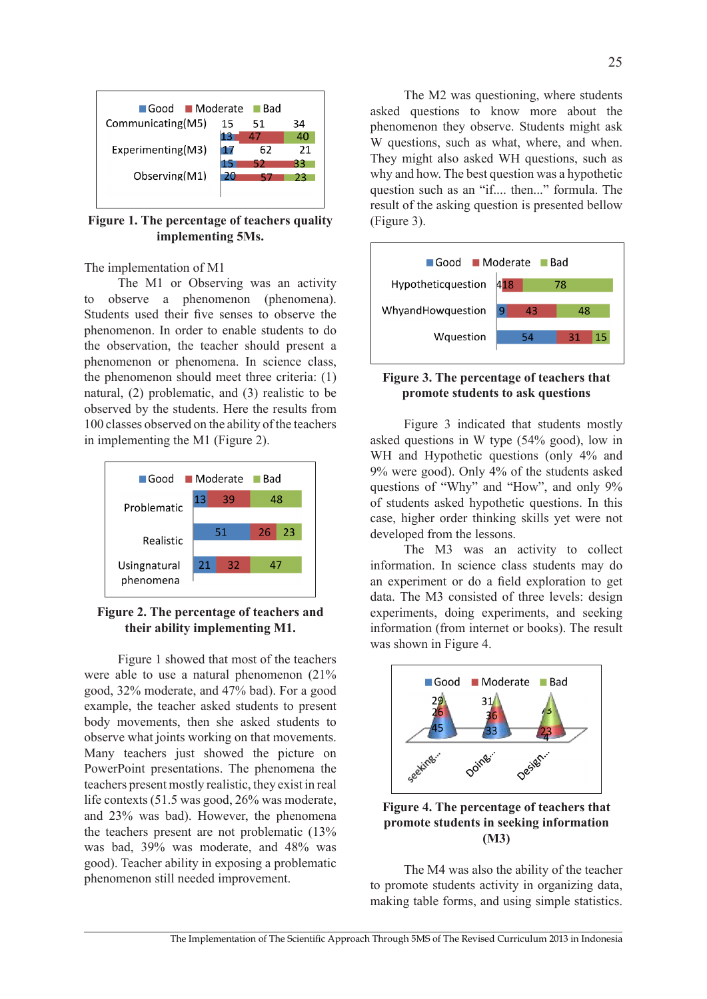

**Figure 1. The percentage of teachers quality implementing 5Ms.**

The implementation of M1

The M1 or Observing was an activity to observe a phenomenon (phenomena). Students used their five senses to observe the phenomenon. In order to enable students to do the observation, the teacher should present a phenomenon or phenomena. In science class, the phenomenon should meet three criteria: (1) natural, (2) problematic, and (3) realistic to be observed by the students. Here the results from 100 classes observed on the ability of the teachers in implementing the M1 (Figure 2).



## **Figure 2. The percentage of teachers and their ability implementing M1.**

Figure 1 showed that most of the teachers were able to use a natural phenomenon (21% good, 32% moderate, and 47% bad). For a good example, the teacher asked students to present body movements, then she asked students to observe what joints working on that movements. Many teachers just showed the picture on PowerPoint presentations. The phenomena the teachers present mostly realistic, they exist in real life contexts (51.5 was good, 26% was moderate, and 23% was bad). However, the phenomena the teachers present are not problematic (13% was bad, 39% was moderate, and 48% was good). Teacher ability in exposing a problematic phenomenon still needed improvement.

The M2 was questioning, where students asked questions to know more about the phenomenon they observe. Students might ask W questions, such as what, where, and when. They might also asked WH questions, such as why and how. The best question was a hypothetic question such as an "if.... then..." formula. The result of the asking question is presented bellow (Figure 3).



## **Figure 3. The percentage of teachers that promote students to ask questions**

Figure 3 indicated that students mostly asked questions in W type (54% good), low in WH and Hypothetic questions (only 4% and 9% were good). Only 4% of the students asked questions of "Why" and "How", and only 9% of students asked hypothetic questions. In this case, higher order thinking skills yet were not developed from the lessons.

The M3 was an activity to collect information. In science class students may do an experiment or do a field exploration to get data. The M3 consisted of three levels: design experiments, doing experiments, and seeking information (from internet or books). The result was shown in Figure 4.



**Figure 4. The percentage of teachers that promote students in seeking information (M3)**

The M4 was also the ability of the teacher to promote students activity in organizing data, making table forms, and using simple statistics.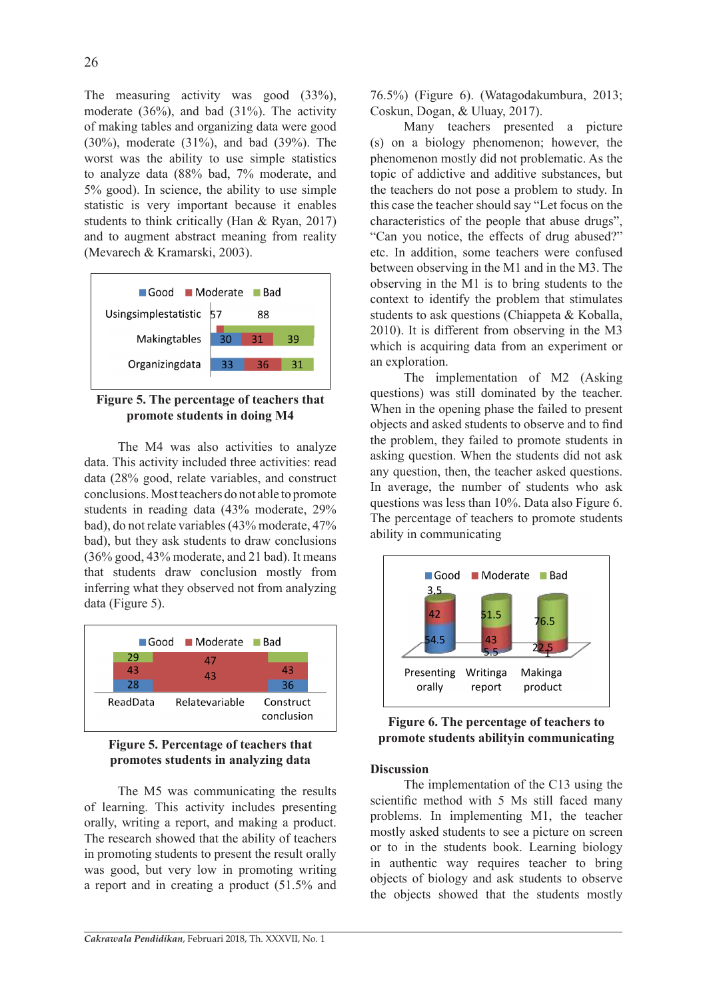The measuring activity was good (33%), moderate (36%), and bad (31%). The activity of making tables and organizing data were good (30%), moderate (31%), and bad (39%). The worst was the ability to use simple statistics to analyze data (88% bad, 7% moderate, and 5% good). In science, the ability to use simple statistic is very important because it enables students to think critically (Han & Ryan, 2017) and to augment abstract meaning from reality (Mevarech & Kramarski, 2003).



**Figure 5. The percentage of teachers that promote students in doing M4**

The M4 was also activities to analyze data. This activity included three activities: read data (28% good, relate variables, and construct conclusions. Most teachers do not able to promote students in reading data (43% moderate, 29% bad), do not relate variables (43% moderate, 47% bad), but they ask students to draw conclusions (36% good, 43% moderate, and 21 bad). It means that students draw conclusion mostly from inferring what they observed not from analyzing data (Figure 5).



**Figure 5. Percentage of teachers that promotes students in analyzing data**

The M5 was communicating the results of learning. This activity includes presenting orally, writing a report, and making a product. The research showed that the ability of teachers in promoting students to present the result orally was good, but very low in promoting writing a report and in creating a product (51.5% and 76.5%) (Figure 6). (Watagodakumbura, 2013; Coskun, Dogan, & Uluay, 2017).

Many teachers presented a picture (s) on a biology phenomenon; however, the phenomenon mostly did not problematic. As the topic of addictive and additive substances, but the teachers do not pose a problem to study. In this case the teacher should say "Let focus on the characteristics of the people that abuse drugs", "Can you notice, the effects of drug abused?" etc. In addition, some teachers were confused between observing in the M1 and in the M3. The observing in the M1 is to bring students to the context to identify the problem that stimulates students to ask questions (Chiappeta & Koballa, 2010). It is different from observing in the M3 which is acquiring data from an experiment or an exploration.

The implementation of M2 (Asking questions) was still dominated by the teacher. When in the opening phase the failed to present objects and asked students to observe and to find the problem, they failed to promote students in asking question. When the students did not ask any question, then, the teacher asked questions. In average, the number of students who ask questions was less than 10%. Data also Figure 6. The percentage of teachers to promote students ability in communicating



**Figure 6. The percentage of teachers to promote students abilityin communicating**

## **Discussion**

The implementation of the C13 using the scientific method with 5 Ms still faced many problems. In implementing M1, the teacher mostly asked students to see a picture on screen or to in the students book. Learning biology in authentic way requires teacher to bring objects of biology and ask students to observe the objects showed that the students mostly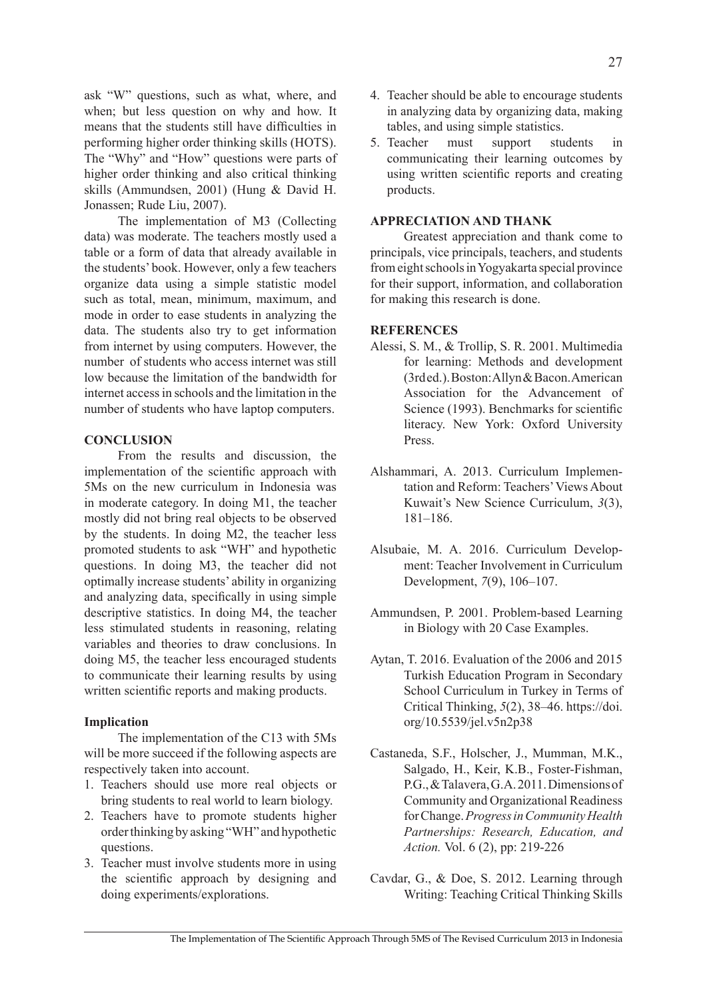ask "W" questions, such as what, where, and when; but less question on why and how. It means that the students still have difficulties in performing higher order thinking skills (HOTS). The "Why" and "How" questions were parts of higher order thinking and also critical thinking skills (Ammundsen, 2001) (Hung & David H. Jonassen; Rude Liu, 2007).

The implementation of M3 (Collecting data) was moderate. The teachers mostly used a table or a form of data that already available in the students' book. However, only a few teachers organize data using a simple statistic model such as total, mean, minimum, maximum, and mode in order to ease students in analyzing the data. The students also try to get information from internet by using computers. However, the number of students who access internet was still low because the limitation of the bandwidth for internet access in schools and the limitation in the number of students who have laptop computers.

## **CONCLUSION**

From the results and discussion, the implementation of the scientific approach with 5Ms on the new curriculum in Indonesia was in moderate category. In doing M1, the teacher mostly did not bring real objects to be observed by the students. In doing M2, the teacher less promoted students to ask "WH" and hypothetic questions. In doing M3, the teacher did not optimally increase students' ability in organizing and analyzing data, specifically in using simple descriptive statistics. In doing M4, the teacher less stimulated students in reasoning, relating variables and theories to draw conclusions. In doing M5, the teacher less encouraged students to communicate their learning results by using written scientific reports and making products.

## **Implication**

The implementation of the C13 with 5Ms will be more succeed if the following aspects are respectively taken into account.

- 1. Teachers should use more real objects or bring students to real world to learn biology.
- 2. Teachers have to promote students higher order thinking by asking "WH" and hypothetic questions.
- 3. Teacher must involve students more in using the scientific approach by designing and doing experiments/explorations.
- 4. Teacher should be able to encourage students in analyzing data by organizing data, making tables, and using simple statistics.
- 5. Teacher must support students in communicating their learning outcomes by using written scientific reports and creating products.

## **APPRECIATION AND THANK**

Greatest appreciation and thank come to principals, vice principals, teachers, and students from eight schools in Yogyakarta special province for their support, information, and collaboration for making this research is done.

#### **REFERENCES**

- Alessi, S. M., & Trollip, S. R. 2001. Multimedia for learning: Methods and development (3rd ed.). Boston: Allyn & Bacon. American Association for the Advancement of Science (1993). Benchmarks for scientific literacy. New York: Oxford University Press.
- Alshammari, A. 2013. Curriculum Implementation and Reform: Teachers' Views About Kuwait's New Science Curriculum, *3*(3), 181–186.
- Alsubaie, M. A. 2016. Curriculum Development: Teacher Involvement in Curriculum Development, *7*(9), 106–107.
- Ammundsen, P. 2001. Problem-based Learning in Biology with 20 Case Examples.
- Aytan, T. 2016. Evaluation of the 2006 and 2015 Turkish Education Program in Secondary School Curriculum in Turkey in Terms of Critical Thinking, *5*(2), 38–46. https://doi. org/10.5539/jel.v5n2p38
- Castaneda, S.F., Holscher, J., Mumman, M.K., Salgado, H., Keir, K.B., Foster-Fishman, P.G., & Talavera, G.A. 2011. Dimensions of Community and Organizational Readiness for Change. *Progress in Community Health Partnerships: Research, Education, and Action.* Vol. 6 (2), pp: 219-226
- Cavdar, G., & Doe, S. 2012. Learning through Writing: Teaching Critical Thinking Skills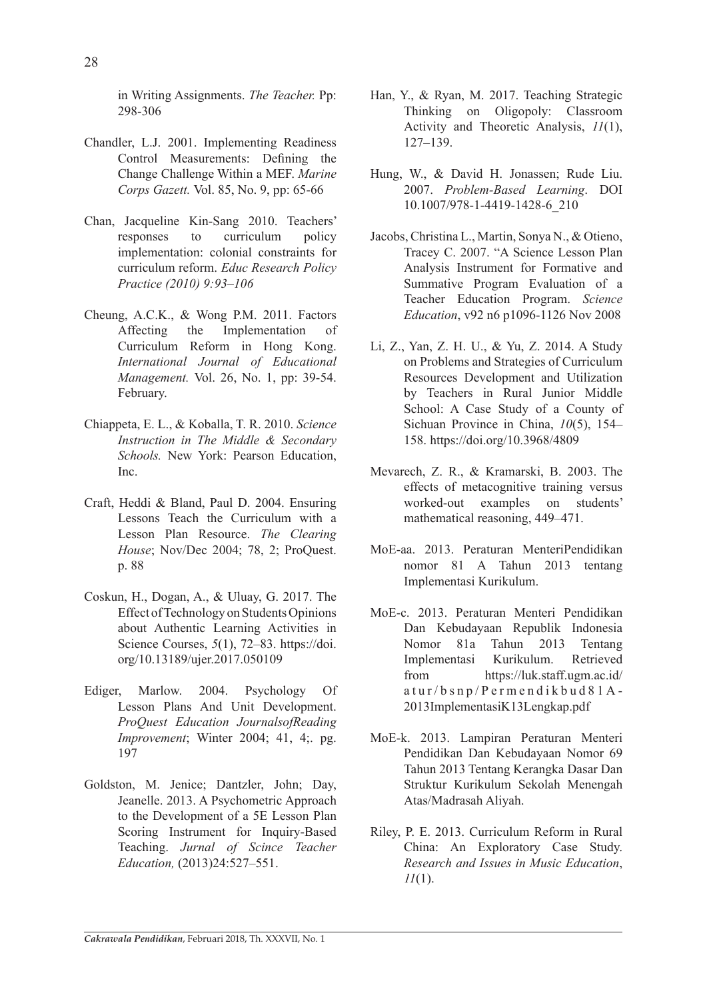in Writing Assignments. *The Teacher.* Pp: 298-306

- Chandler, L.J. 2001. Implementing Readiness Control Measurements: Defining the Change Challenge Within a MEF. *Marine Corps Gazett.* Vol. 85, No. 9, pp: 65-66
- Chan, Jacqueline Kin-Sang 2010. Teachers' responses to curriculum policy implementation: colonial constraints for curriculum reform. *Educ Research Policy Practice (2010) 9:93–106*
- Cheung, A.C.K., & Wong P.M. 2011. Factors Affecting the Implementation of Curriculum Reform in Hong Kong. *International Journal of Educational Management.* Vol. 26, No. 1, pp: 39-54. February.
- Chiappeta, E. L., & Koballa, T. R. 2010. *Science Instruction in The Middle & Secondary Schools.* New York: Pearson Education, Inc.
- Craft, Heddi & Bland, Paul D. 2004. Ensuring Lessons Teach the Curriculum with a Lesson Plan Resource. *The Clearing House*; Nov/Dec 2004; 78, 2; ProQuest. p. 88
- Coskun, H., Dogan, A., & Uluay, G. 2017. The Effect of Technology on Students Opinions about Authentic Learning Activities in Science Courses, *5*(1), 72–83. https://doi. org/10.13189/ujer.2017.050109
- Ediger, Marlow. 2004. Psychology Of Lesson Plans And Unit Development. *ProQuest Education JournalsofReading Improvement*; Winter 2004; 41, 4;. pg. 197
- Goldston, M. Jenice; Dantzler, John; Day, Jeanelle. 2013. A Psychometric Approach to the Development of a 5E Lesson Plan Scoring Instrument for Inquiry-Based Teaching. *Jurnal of Scince Teacher Education,* (2013)24:527–551.
- Han, Y., & Ryan, M. 2017. Teaching Strategic Thinking on Oligopoly: Classroom Activity and Theoretic Analysis, *11*(1), 127–139.
- Hung, W., & David H. Jonassen; Rude Liu. 2007. *Problem-Based Learning*. DOI 10.1007/978-1-4419-1428-6\_210
- Jacobs, Christina L., Martin, Sonya N., & Otieno, Tracey C. 2007. "A Science Lesson Plan Analysis Instrument for Formative and Summative Program Evaluation of a Teacher Education Program. *Science Education*, v92 n6 p1096-1126 Nov 2008
- Li, Z., Yan, Z. H. U., & Yu, Z. 2014. A Study on Problems and Strategies of Curriculum Resources Development and Utilization by Teachers in Rural Junior Middle School: A Case Study of a County of Sichuan Province in China, *10*(5), 154– 158. https://doi.org/10.3968/4809
- Mevarech, Z. R., & Kramarski, B. 2003. The effects of metacognitive training versus worked-out examples on students' mathematical reasoning, 449–471.
- MoE-aa. 2013. Peraturan MenteriPendidikan nomor 81 A Tahun 2013 tentang Implementasi Kurikulum.
- MoE-c. 2013. Peraturan Menteri Pendidikan Dan Kebudayaan Republik Indonesia Nomor 81a Tahun 2013 Tentang Implementasi Kurikulum. Retrieved from https://luk.staff.ugm.ac.id/ atur/bsnp/Permendikbud81A-2013ImplementasiK13Lengkap.pdf
- MoE-k. 2013. Lampiran Peraturan Menteri Pendidikan Dan Kebudayaan Nomor 69 Tahun 2013 Tentang Kerangka Dasar Dan Struktur Kurikulum Sekolah Menengah Atas/Madrasah Aliyah.
- Riley, P. E. 2013. Curriculum Reform in Rural China: An Exploratory Case Study. *Research and Issues in Music Education*, *11*(1).